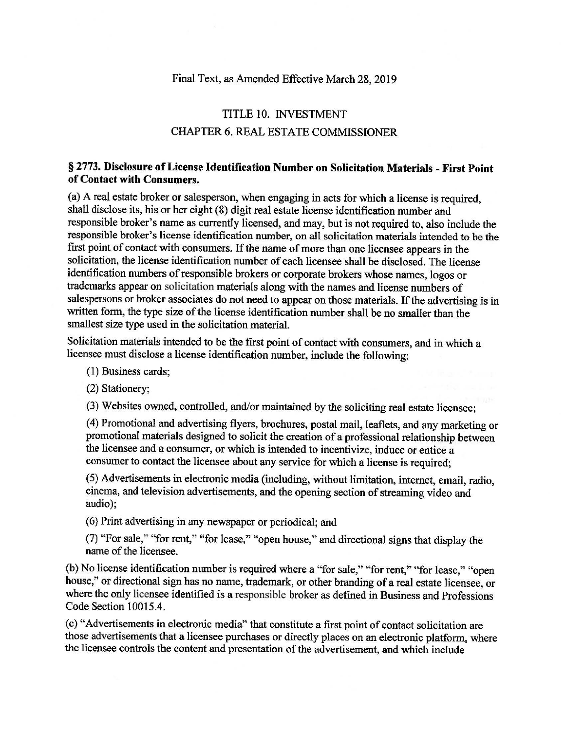## Final Text, as Amended Effective March 28, 2019

## TITLE 10. INVESTMENT CHAPTER 6. REAL ESTATE COMMISSIONER

## § 2773. **Disclosure of Lfoense Identification Number on Solicitation Materials** - **First Point of Contact with Consumers.**

(a) A real estate broker or salesperson, when engaging in acts for which a license is required, shall disclose its, his or her eight (8) digit real estate license identification number and responsible broker's name as currently licensed, and may, but is not required to, also include the responsible broker's license identification number, on all solicitation materials intended to be the first point of contact with consumers. If the name of more than one licensee appears in the solicitation, the license identification number of each licensee shall be disclosed. The license identification numbers of responsible brokers or corporate brokers whose names, logos or trademarks appear on solicitation materials along with the names and license numbers of salespersons or broker associates do not need to appear on those materials. If the advertising is in written form, the type size of the license identification number shall be no smaller than the smallest size type used in the solicitation material.

Solicitation materials intended to be the first point of contact with consumers, and in which a licensee must disclose a license identification number, include the following:

(1) Business cards;

(2) Stationery;

(3) Websites owned, controlled, and/or maintained by the soliciting real estate licensee;

(4) Promotional and advertising flyers, brochures, postal mail, leaflets, and any marketing or promotional materials designed to solicit the creation of a professional relationship between the licensee and a consumer, or which is intended to incentivize, induce or entice a consumer to contact the licensee about any service for which a license is required;

(5) Advertisements in electronic media (including, without limitation, internet, email, radio, cinema, and television advertisements, and the opening section of streaming video and audio);

( 6) Print advertising in any newspaper or periodical; and

(7) "For sale," "for rent," "for lease," "open house," and directional signs that display the name of the licensee.

(b) No license identification number is required where a "for sale," "for rent," "for lease," "open house," or directional sign has no name, trademark, or other branding of a real estate licensee, or where the only licensee identified is a responsible broker as defined in Business and Professions Code Section 10015.4.

(c) "Advertisements in electronic media" that constitute a first point of contact solicitation are those advertisements that a licensee purchases or directly places on an electronic platform, where the licensee controls the content and presentation of the advertisement, and which include